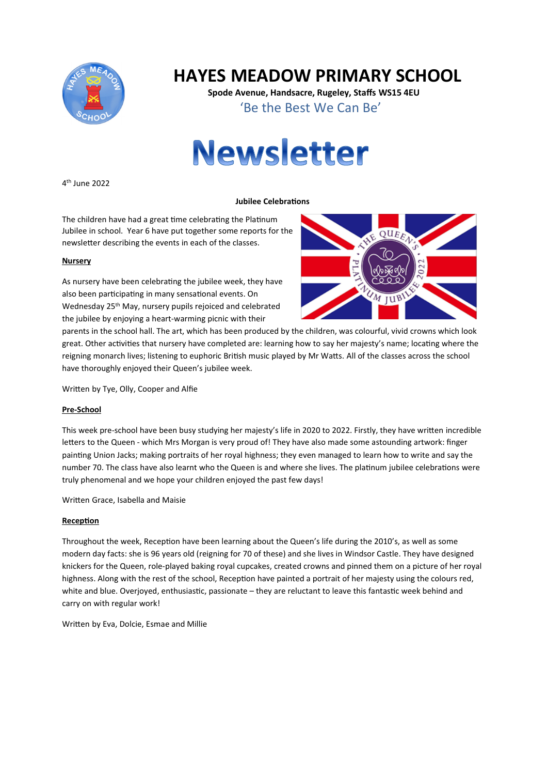

# **HAYES MEADOW PRIMARY SCHOOL**

**Spode Avenue, Handsacre, Rugeley, Staffs WS15 4EU** 'Be the Best We Can Be'



4 th June 2022

#### **Jubilee Celebrations**

The children have had a great time celebrating the Platinum Jubilee in school. Year 6 have put together some reports for the newsletter describing the events in each of the classes.

#### **Nursery**

As nursery have been celebrating the jubilee week, they have also been participating in many sensational events. On Wednesday 25th May, nursery pupils rejoiced and celebrated the jubilee by enjoying a heart-warming picnic with their



parents in the school hall. The art, which has been produced by the children, was colourful, vivid crowns which look great. Other activities that nursery have completed are: learning how to say her majesty's name; locating where the reigning monarch lives; listening to euphoric British music played by Mr Watts. All of the classes across the school have thoroughly enjoyed their Queen's jubilee week.

Written by Tye, Olly, Cooper and Alfie

#### **Pre-School**

This week pre-school have been busy studying her majesty's life in 2020 to 2022. Firstly, they have written incredible letters to the Queen - which Mrs Morgan is very proud of! They have also made some astounding artwork: finger painting Union Jacks; making portraits of her royal highness; they even managed to learn how to write and say the number 70. The class have also learnt who the Queen is and where she lives. The platinum jubilee celebrations were truly phenomenal and we hope your children enjoyed the past few days!

Written Grace, Isabella and Maisie

#### **Reception**

Throughout the week, Reception have been learning about the Queen's life during the 2010's, as well as some modern day facts: she is 96 years old (reigning for 70 of these) and she lives in Windsor Castle. They have designed knickers for the Queen, role-played baking royal cupcakes, created crowns and pinned them on a picture of her royal highness. Along with the rest of the school, Reception have painted a portrait of her majesty using the colours red, white and blue. Overjoyed, enthusiastic, passionate – they are reluctant to leave this fantastic week behind and carry on with regular work!

Written by Eva, Dolcie, Esmae and Millie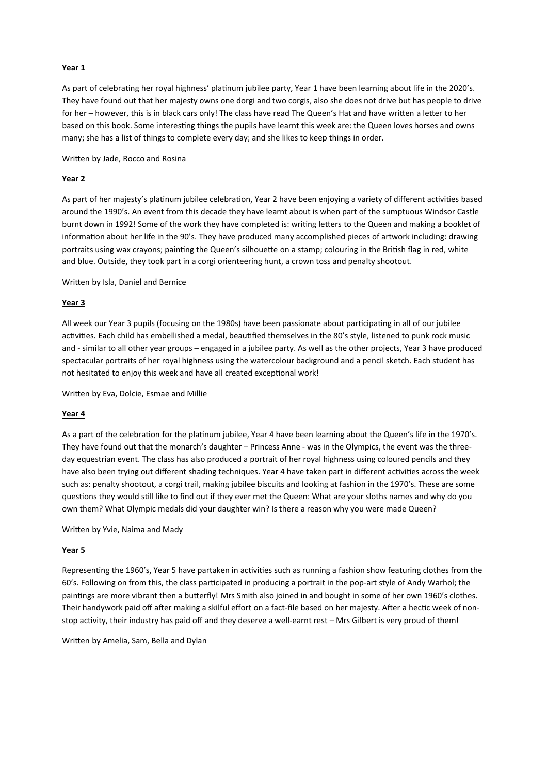#### **Year 1**

As part of celebrating her royal highness' platinum jubilee party, Year 1 have been learning about life in the 2020's. They have found out that her majesty owns one dorgi and two corgis, also she does not drive but has people to drive for her – however, this is in black cars only! The class have read The Queen's Hat and have written a letter to her based on this book. Some interesting things the pupils have learnt this week are: the Queen loves horses and owns many; she has a list of things to complete every day; and she likes to keep things in order.

Written by Jade, Rocco and Rosina

#### **Year 2**

As part of her majesty's platinum jubilee celebration, Year 2 have been enjoying a variety of different activities based around the 1990's. An event from this decade they have learnt about is when part of the sumptuous Windsor Castle burnt down in 1992! Some of the work they have completed is: writing letters to the Queen and making a booklet of information about her life in the 90's. They have produced many accomplished pieces of artwork including: drawing portraits using wax crayons; painting the Queen's silhouette on a stamp; colouring in the British flag in red, white and blue. Outside, they took part in a corgi orienteering hunt, a crown toss and penalty shootout.

Written by Isla, Daniel and Bernice

#### **Year 3**

All week our Year 3 pupils (focusing on the 1980s) have been passionate about parcipang in all of our jubilee activities. Each child has embellished a medal, beautified themselves in the 80's style, listened to punk rock music and - similar to all other year groups – engaged in a jubilee party. As well as the other projects, Year 3 have produced spectacular portraits of her royal highness using the watercolour background and a pencil sketch. Each student has not hesitated to enjoy this week and have all created exceptional work!

Written by Eva, Dolcie, Esmae and Millie

#### **Year 4**

As a part of the celebration for the platinum jubilee, Year 4 have been learning about the Queen's life in the 1970's. They have found out that the monarch's daughter – Princess Anne - was in the Olympics, the event was the threeday equestrian event. The class has also produced a portrait of her royal highness using coloured pencils and they have also been trying out different shading techniques. Year 4 have taken part in different activities across the week such as: penalty shootout, a corgi trail, making jubilee biscuits and looking at fashion in the 1970's. These are some questions they would still like to find out if they ever met the Queen: What are your sloths names and why do you own them? What Olympic medals did your daughter win? Is there a reason why you were made Queen?

Written by Yvie, Naima and Mady

#### **Year 5**

Representing the 1960's, Year 5 have partaken in activities such as running a fashion show featuring clothes from the 60's. Following on from this, the class participated in producing a portrait in the pop-art style of Andy Warhol; the paintings are more vibrant then a butterfly! Mrs Smith also joined in and bought in some of her own 1960's clothes. Their handywork paid off after making a skilful effort on a fact-file based on her majesty. After a hectic week of nonstop activity, their industry has paid off and they deserve a well-earnt rest - Mrs Gilbert is very proud of them!

Written by Amelia, Sam, Bella and Dylan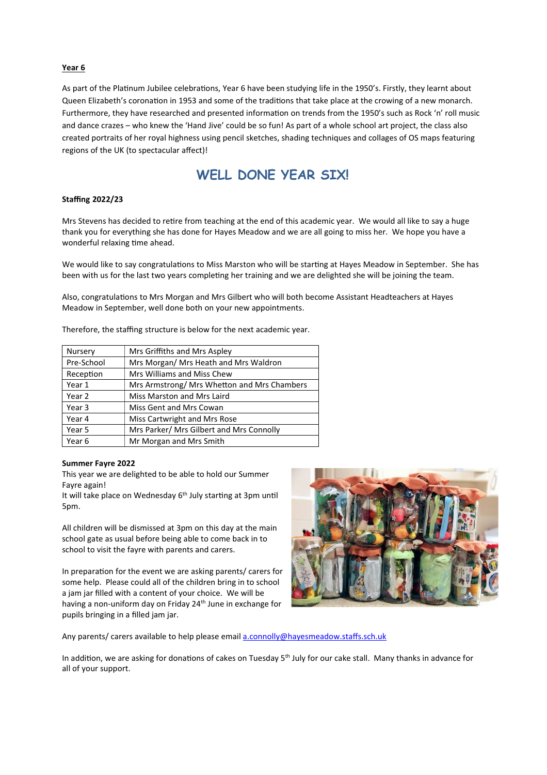#### **Year 6**

As part of the Platinum Jubilee celebrations, Year 6 have been studying life in the 1950's. Firstly, they learnt about Queen Elizabeth's coronation in 1953 and some of the traditions that take place at the crowing of a new monarch. Furthermore, they have researched and presented information on trends from the 1950's such as Rock 'n' roll music and dance crazes – who knew the 'Hand Jive' could be so fun! As part of a whole school art project, the class also created portraits of her royal highness using pencil sketches, shading techniques and collages of OS maps featuring regions of the UK (to spectacular affect)!

## **WELL DONE YEAR SIX!**

#### **Staffing 2022/23**

Mrs Stevens has decided to retire from teaching at the end of this academic year. We would all like to say a huge thank you for everything she has done for Hayes Meadow and we are all going to miss her. We hope you have a wonderful relaxing time ahead.

We would like to say congratulations to Miss Marston who will be starting at Hayes Meadow in September. She has been with us for the last two years completing her training and we are delighted she will be joining the team.

Also, congratulations to Mrs Morgan and Mrs Gilbert who will both become Assistant Headteachers at Hayes Meadow in September, well done both on your new appointments.

Therefore, the staffing structure is below for the next academic year.

| Nursery    | Mrs Griffiths and Mrs Aspley                |
|------------|---------------------------------------------|
| Pre-School | Mrs Morgan/ Mrs Heath and Mrs Waldron       |
| Reception  | Mrs Williams and Miss Chew                  |
| Year 1     | Mrs Armstrong/ Mrs Whetton and Mrs Chambers |
| Year 2     | Miss Marston and Mrs Laird                  |
| Year 3     | Miss Gent and Mrs Cowan                     |
| Year 4     | Miss Cartwright and Mrs Rose                |
| Year 5     | Mrs Parker/ Mrs Gilbert and Mrs Connolly    |
| Year 6     | Mr Morgan and Mrs Smith                     |
|            |                                             |

#### **Summer Fayre 2022**

This year we are delighted to be able to hold our Summer Fayre again!

It will take place on Wednesday  $6<sup>th</sup>$  July starting at 3pm until 5pm.

All children will be dismissed at 3pm on this day at the main school gate as usual before being able to come back in to school to visit the fayre with parents and carers.

In preparation for the event we are asking parents/ carers for some help. Please could all of the children bring in to school a jam jar filled with a content of your choice. We will be having a non-uniform day on Friday 24<sup>th</sup> June in exchange for pupils bringing in a filled jam jar.



Any parents/ carers available to help please email a.connolly@hayesmeadow.staffs.sch.uk

In addition, we are asking for donations of cakes on Tuesday 5<sup>th</sup> July for our cake stall. Many thanks in advance for all of your support.